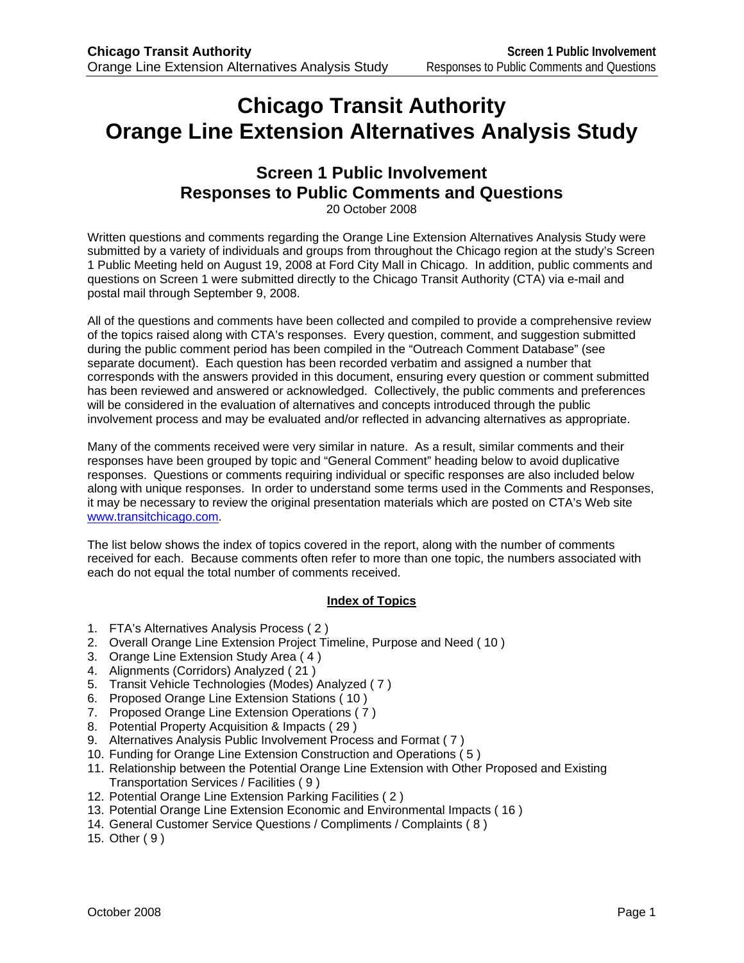# **Chicago Transit Authority Orange Line Extension Alternatives Analysis Study**

# **Screen 1 Public Involvement Responses to Public Comments and Questions**

20 October 2008

Written questions and comments regarding the Orange Line Extension Alternatives Analysis Study were submitted by a variety of individuals and groups from throughout the Chicago region at the study's Screen 1 Public Meeting held on August 19, 2008 at Ford City Mall in Chicago. In addition, public comments and questions on Screen 1 were submitted directly to the Chicago Transit Authority (CTA) via e-mail and postal mail through September 9, 2008.

All of the questions and comments have been collected and compiled to provide a comprehensive review of the topics raised along with CTA's responses. Every question, comment, and suggestion submitted during the public comment period has been compiled in the "Outreach Comment Database" (see separate document). Each question has been recorded verbatim and assigned a number that corresponds with the answers provided in this document, ensuring every question or comment submitted has been reviewed and answered or acknowledged. Collectively, the public comments and preferences will be considered in the evaluation of alternatives and concepts introduced through the public involvement process and may be evaluated and/or reflected in advancing alternatives as appropriate.

Many of the comments received were very similar in nature. As a result, similar comments and their responses have been grouped by topic and "General Comment" heading below to avoid duplicative responses. Questions or comments requiring individual or specific responses are also included below along with unique responses. In order to understand some terms used in the Comments and Responses, it may be necessary to review the original presentation materials which are posted on CTA's Web site www.transitchicago.com.

The list below shows the index of topics covered in the report, along with the number of comments received for each. Because comments often refer to more than one topic, the numbers associated with each do not equal the total number of comments received.

#### **Index of Topics**

- 1. FTA's Alternatives Analysis Process ( 2 )
- 2. Overall Orange Line Extension Project Timeline, Purpose and Need ( 10 )
- 3. Orange Line Extension Study Area ( 4 )
- 4. Alignments (Corridors) Analyzed ( 21 )
- 5. Transit Vehicle Technologies (Modes) Analyzed ( 7 )
- 6. Proposed Orange Line Extension Stations ( 10 )
- 7. Proposed Orange Line Extension Operations ( 7 )
- 8. Potential Property Acquisition & Impacts ( 29 )
- 9. Alternatives Analysis Public Involvement Process and Format ( 7 )
- 10. Funding for Orange Line Extension Construction and Operations ( 5 )
- 11. Relationship between the Potential Orange Line Extension with Other Proposed and Existing Transportation Services / Facilities ( 9 )
- 12. Potential Orange Line Extension Parking Facilities ( 2 )
- 13. Potential Orange Line Extension Economic and Environmental Impacts ( 16 )
- 14. General Customer Service Questions / Compliments / Complaints ( 8 )
- 15. Other ( 9 )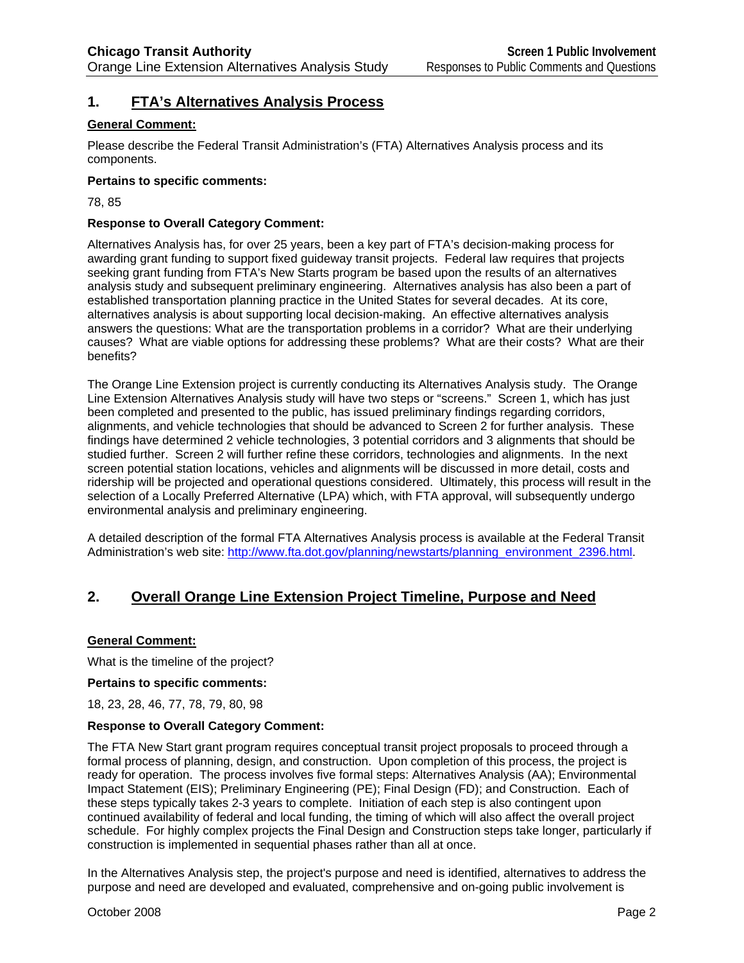# **1. FTA's Alternatives Analysis Process**

#### **General Comment:**

Please describe the Federal Transit Administration's (FTA) Alternatives Analysis process and its components.

#### **Pertains to specific comments:**

78, 85

#### **Response to Overall Category Comment:**

Alternatives Analysis has, for over 25 years, been a key part of FTA's decision-making process for awarding grant funding to support fixed guideway transit projects. Federal law requires that projects seeking grant funding from FTA's New Starts program be based upon the results of an alternatives analysis study and subsequent preliminary engineering. Alternatives analysis has also been a part of established transportation planning practice in the United States for several decades. At its core, alternatives analysis is about supporting local decision-making. An effective alternatives analysis answers the questions: What are the transportation problems in a corridor? What are their underlying causes? What are viable options for addressing these problems? What are their costs? What are their benefits?

The Orange Line Extension project is currently conducting its Alternatives Analysis study. The Orange Line Extension Alternatives Analysis study will have two steps or "screens." Screen 1, which has just been completed and presented to the public, has issued preliminary findings regarding corridors, alignments, and vehicle technologies that should be advanced to Screen 2 for further analysis. These findings have determined 2 vehicle technologies, 3 potential corridors and 3 alignments that should be studied further. Screen 2 will further refine these corridors, technologies and alignments. In the next screen potential station locations, vehicles and alignments will be discussed in more detail, costs and ridership will be projected and operational questions considered. Ultimately, this process will result in the selection of a Locally Preferred Alternative (LPA) which, with FTA approval, will subsequently undergo environmental analysis and preliminary engineering.

A detailed description of the formal FTA Alternatives Analysis process is available at the Federal Transit Administration's web site: http://www.fta.dot.gov/planning/newstarts/planning\_environment\_2396.html.

# **2. Overall Orange Line Extension Project Timeline, Purpose and Need**

#### **General Comment:**

What is the timeline of the project?

#### **Pertains to specific comments:**

18, 23, 28, 46, 77, 78, 79, 80, 98

#### **Response to Overall Category Comment:**

The FTA New Start grant program requires conceptual transit project proposals to proceed through a formal process of planning, design, and construction. Upon completion of this process, the project is ready for operation. The process involves five formal steps: Alternatives Analysis (AA); Environmental Impact Statement (EIS); Preliminary Engineering (PE); Final Design (FD); and Construction. Each of these steps typically takes 2-3 years to complete. Initiation of each step is also contingent upon continued availability of federal and local funding, the timing of which will also affect the overall project schedule. For highly complex projects the Final Design and Construction steps take longer, particularly if construction is implemented in sequential phases rather than all at once.

In the Alternatives Analysis step, the project's purpose and need is identified, alternatives to address the purpose and need are developed and evaluated, comprehensive and on-going public involvement is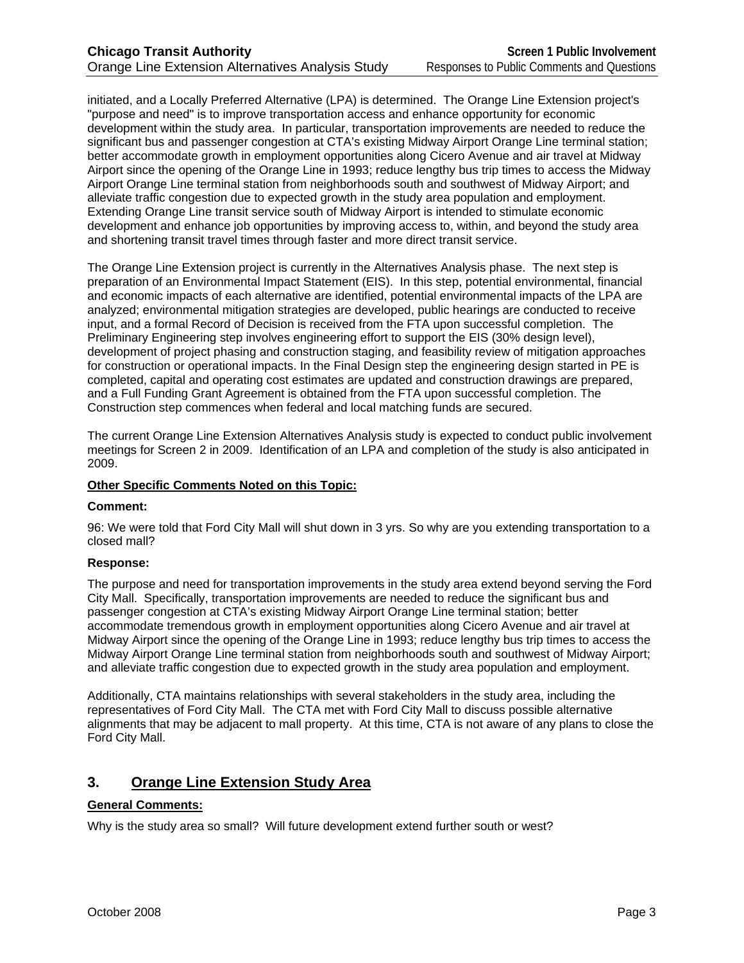initiated, and a Locally Preferred Alternative (LPA) is determined. The Orange Line Extension project's "purpose and need" is to improve transportation access and enhance opportunity for economic development within the study area. In particular, transportation improvements are needed to reduce the significant bus and passenger congestion at CTA's existing Midway Airport Orange Line terminal station; better accommodate growth in employment opportunities along Cicero Avenue and air travel at Midway Airport since the opening of the Orange Line in 1993; reduce lengthy bus trip times to access the Midway Airport Orange Line terminal station from neighborhoods south and southwest of Midway Airport; and alleviate traffic congestion due to expected growth in the study area population and employment. Extending Orange Line transit service south of Midway Airport is intended to stimulate economic development and enhance job opportunities by improving access to, within, and beyond the study area and shortening transit travel times through faster and more direct transit service.

The Orange Line Extension project is currently in the Alternatives Analysis phase. The next step is preparation of an Environmental Impact Statement (EIS). In this step, potential environmental, financial and economic impacts of each alternative are identified, potential environmental impacts of the LPA are analyzed; environmental mitigation strategies are developed, public hearings are conducted to receive input, and a formal Record of Decision is received from the FTA upon successful completion. The Preliminary Engineering step involves engineering effort to support the EIS (30% design level), development of project phasing and construction staging, and feasibility review of mitigation approaches for construction or operational impacts. In the Final Design step the engineering design started in PE is completed, capital and operating cost estimates are updated and construction drawings are prepared, and a Full Funding Grant Agreement is obtained from the FTA upon successful completion. The Construction step commences when federal and local matching funds are secured.

The current Orange Line Extension Alternatives Analysis study is expected to conduct public involvement meetings for Screen 2 in 2009. Identification of an LPA and completion of the study is also anticipated in 2009.

#### **Other Specific Comments Noted on this Topic:**

#### **Comment:**

96: We were told that Ford City Mall will shut down in 3 yrs. So why are you extending transportation to a closed mall?

#### **Response:**

The purpose and need for transportation improvements in the study area extend beyond serving the Ford City Mall. Specifically, transportation improvements are needed to reduce the significant bus and passenger congestion at CTA's existing Midway Airport Orange Line terminal station; better accommodate tremendous growth in employment opportunities along Cicero Avenue and air travel at Midway Airport since the opening of the Orange Line in 1993; reduce lengthy bus trip times to access the Midway Airport Orange Line terminal station from neighborhoods south and southwest of Midway Airport; and alleviate traffic congestion due to expected growth in the study area population and employment.

Additionally, CTA maintains relationships with several stakeholders in the study area, including the representatives of Ford City Mall. The CTA met with Ford City Mall to discuss possible alternative alignments that may be adjacent to mall property. At this time, CTA is not aware of any plans to close the Ford City Mall.

# **3. Orange Line Extension Study Area**

#### **General Comments:**

Why is the study area so small? Will future development extend further south or west?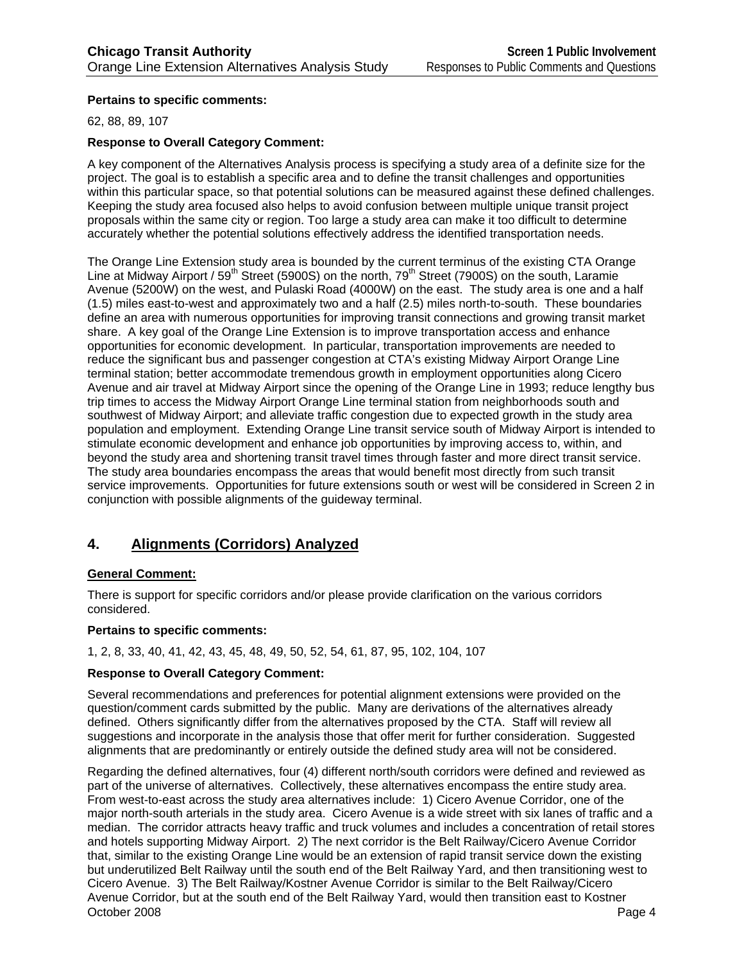#### **Pertains to specific comments:**

62, 88, 89, 107

#### **Response to Overall Category Comment:**

A key component of the Alternatives Analysis process is specifying a study area of a definite size for the project. The goal is to establish a specific area and to define the transit challenges and opportunities within this particular space, so that potential solutions can be measured against these defined challenges. Keeping the study area focused also helps to avoid confusion between multiple unique transit project proposals within the same city or region. Too large a study area can make it too difficult to determine accurately whether the potential solutions effectively address the identified transportation needs.

The Orange Line Extension study area is bounded by the current terminus of the existing CTA Orange Line at Midway Airport / 59<sup>th</sup> Street (5900S) on the north, 79<sup>th</sup> Street (7900S) on the south, Laramie Avenue (5200W) on the west, and Pulaski Road (4000W) on the east. The study area is one and a half (1.5) miles east-to-west and approximately two and a half (2.5) miles north-to-south. These boundaries define an area with numerous opportunities for improving transit connections and growing transit market share. A key goal of the Orange Line Extension is to improve transportation access and enhance opportunities for economic development. In particular, transportation improvements are needed to reduce the significant bus and passenger congestion at CTA's existing Midway Airport Orange Line terminal station; better accommodate tremendous growth in employment opportunities along Cicero Avenue and air travel at Midway Airport since the opening of the Orange Line in 1993; reduce lengthy bus trip times to access the Midway Airport Orange Line terminal station from neighborhoods south and southwest of Midway Airport; and alleviate traffic congestion due to expected growth in the study area population and employment. Extending Orange Line transit service south of Midway Airport is intended to stimulate economic development and enhance job opportunities by improving access to, within, and beyond the study area and shortening transit travel times through faster and more direct transit service. The study area boundaries encompass the areas that would benefit most directly from such transit service improvements. Opportunities for future extensions south or west will be considered in Screen 2 in conjunction with possible alignments of the guideway terminal.

# **4. Alignments (Corridors) Analyzed**

#### **General Comment:**

There is support for specific corridors and/or please provide clarification on the various corridors considered.

#### **Pertains to specific comments:**

1, 2, 8, 33, 40, 41, 42, 43, 45, 48, 49, 50, 52, 54, 61, 87, 95, 102, 104, 107

#### **Response to Overall Category Comment:**

Several recommendations and preferences for potential alignment extensions were provided on the question/comment cards submitted by the public. Many are derivations of the alternatives already defined. Others significantly differ from the alternatives proposed by the CTA. Staff will review all suggestions and incorporate in the analysis those that offer merit for further consideration. Suggested alignments that are predominantly or entirely outside the defined study area will not be considered.

October 2008 Page 4 Regarding the defined alternatives, four (4) different north/south corridors were defined and reviewed as part of the universe of alternatives. Collectively, these alternatives encompass the entire study area. From west-to-east across the study area alternatives include: 1) Cicero Avenue Corridor, one of the major north-south arterials in the study area. Cicero Avenue is a wide street with six lanes of traffic and a median. The corridor attracts heavy traffic and truck volumes and includes a concentration of retail stores and hotels supporting Midway Airport. 2) The next corridor is the Belt Railway/Cicero Avenue Corridor that, similar to the existing Orange Line would be an extension of rapid transit service down the existing but underutilized Belt Railway until the south end of the Belt Railway Yard, and then transitioning west to Cicero Avenue. 3) The Belt Railway/Kostner Avenue Corridor is similar to the Belt Railway/Cicero Avenue Corridor, but at the south end of the Belt Railway Yard, would then transition east to Kostner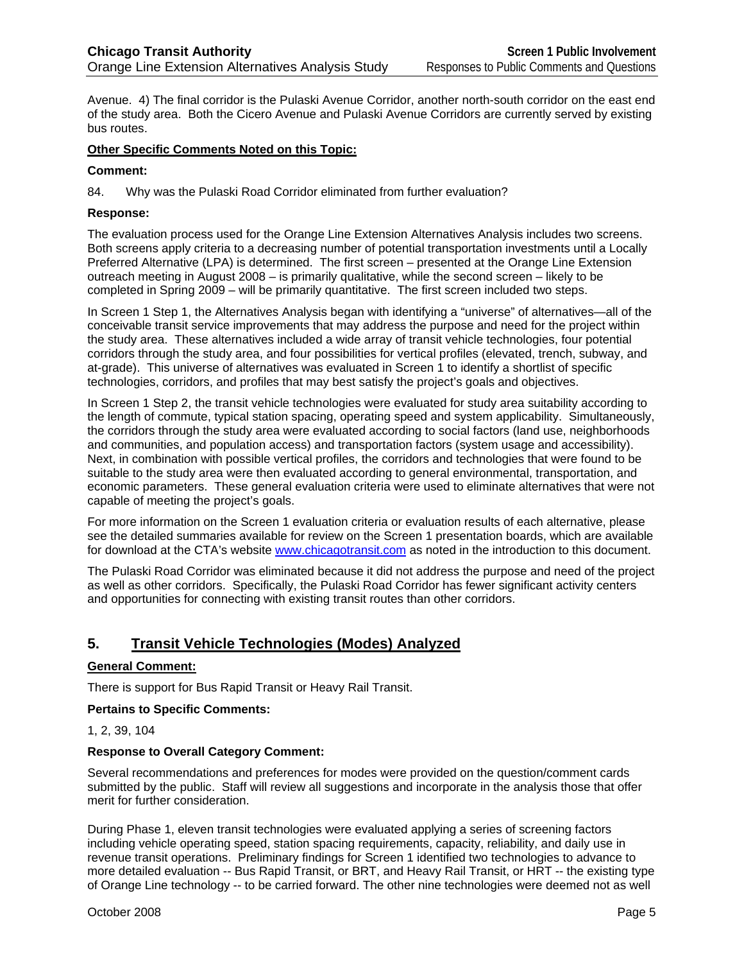Avenue. 4) The final corridor is the Pulaski Avenue Corridor, another north-south corridor on the east end of the study area. Both the Cicero Avenue and Pulaski Avenue Corridors are currently served by existing bus routes.

#### **Other Specific Comments Noted on this Topic:**

#### **Comment:**

84. Why was the Pulaski Road Corridor eliminated from further evaluation?

#### **Response:**

The evaluation process used for the Orange Line Extension Alternatives Analysis includes two screens. Both screens apply criteria to a decreasing number of potential transportation investments until a Locally Preferred Alternative (LPA) is determined. The first screen – presented at the Orange Line Extension outreach meeting in August 2008 – is primarily qualitative, while the second screen – likely to be completed in Spring 2009 – will be primarily quantitative. The first screen included two steps.

In Screen 1 Step 1, the Alternatives Analysis began with identifying a "universe" of alternatives—all of the conceivable transit service improvements that may address the purpose and need for the project within the study area. These alternatives included a wide array of transit vehicle technologies, four potential corridors through the study area, and four possibilities for vertical profiles (elevated, trench, subway, and at-grade). This universe of alternatives was evaluated in Screen 1 to identify a shortlist of specific technologies, corridors, and profiles that may best satisfy the project's goals and objectives.

In Screen 1 Step 2, the transit vehicle technologies were evaluated for study area suitability according to the length of commute, typical station spacing, operating speed and system applicability. Simultaneously, the corridors through the study area were evaluated according to social factors (land use, neighborhoods and communities, and population access) and transportation factors (system usage and accessibility). Next, in combination with possible vertical profiles, the corridors and technologies that were found to be suitable to the study area were then evaluated according to general environmental, transportation, and economic parameters. These general evaluation criteria were used to eliminate alternatives that were not capable of meeting the project's goals.

For more information on the Screen 1 evaluation criteria or evaluation results of each alternative, please see the detailed summaries available for review on the Screen 1 presentation boards, which are available for download at the CTA's website www.chicagotransit.com as noted in the introduction to this document.

The Pulaski Road Corridor was eliminated because it did not address the purpose and need of the project as well as other corridors. Specifically, the Pulaski Road Corridor has fewer significant activity centers and opportunities for connecting with existing transit routes than other corridors.

# **5. Transit Vehicle Technologies (Modes) Analyzed**

#### **General Comment:**

There is support for Bus Rapid Transit or Heavy Rail Transit.

**Pertains to Specific Comments:** 

1, 2, 39, 104

#### **Response to Overall Category Comment:**

Several recommendations and preferences for modes were provided on the question/comment cards submitted by the public. Staff will review all suggestions and incorporate in the analysis those that offer merit for further consideration.

During Phase 1, eleven transit technologies were evaluated applying a series of screening factors including vehicle operating speed, station spacing requirements, capacity, reliability, and daily use in revenue transit operations. Preliminary findings for Screen 1 identified two technologies to advance to more detailed evaluation -- Bus Rapid Transit, or BRT, and Heavy Rail Transit, or HRT -- the existing type of Orange Line technology -- to be carried forward. The other nine technologies were deemed not as well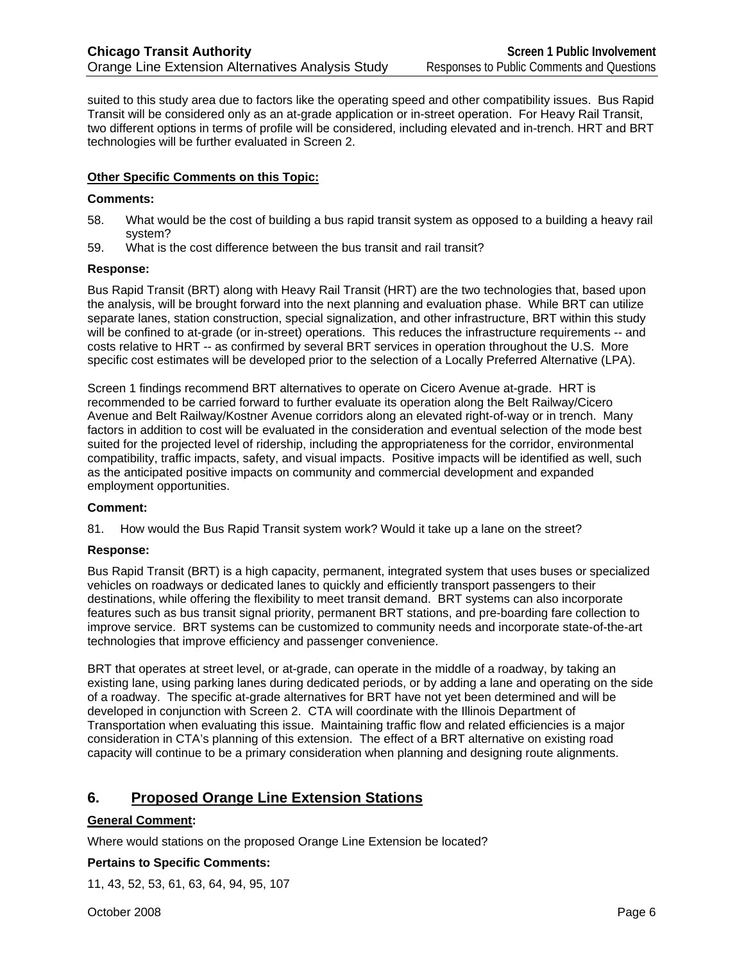suited to this study area due to factors like the operating speed and other compatibility issues. Bus Rapid Transit will be considered only as an at-grade application or in-street operation. For Heavy Rail Transit, two different options in terms of profile will be considered, including elevated and in-trench. HRT and BRT technologies will be further evaluated in Screen 2.

#### **Other Specific Comments on this Topic:**

#### **Comments:**

- 58. What would be the cost of building a bus rapid transit system as opposed to a building a heavy rail system?
- 59. What is the cost difference between the bus transit and rail transit?

#### **Response:**

Bus Rapid Transit (BRT) along with Heavy Rail Transit (HRT) are the two technologies that, based upon the analysis, will be brought forward into the next planning and evaluation phase. While BRT can utilize separate lanes, station construction, special signalization, and other infrastructure, BRT within this study will be confined to at-grade (or in-street) operations. This reduces the infrastructure requirements -- and costs relative to HRT -- as confirmed by several BRT services in operation throughout the U.S. More specific cost estimates will be developed prior to the selection of a Locally Preferred Alternative (LPA).

Screen 1 findings recommend BRT alternatives to operate on Cicero Avenue at-grade. HRT is recommended to be carried forward to further evaluate its operation along the Belt Railway/Cicero Avenue and Belt Railway/Kostner Avenue corridors along an elevated right-of-way or in trench. Many factors in addition to cost will be evaluated in the consideration and eventual selection of the mode best suited for the projected level of ridership, including the appropriateness for the corridor, environmental compatibility, traffic impacts, safety, and visual impacts. Positive impacts will be identified as well, such as the anticipated positive impacts on community and commercial development and expanded employment opportunities.

#### **Comment:**

81. How would the Bus Rapid Transit system work? Would it take up a lane on the street?

#### **Response:**

Bus Rapid Transit (BRT) is a high capacity, permanent, integrated system that uses buses or specialized vehicles on roadways or dedicated lanes to quickly and efficiently transport passengers to their destinations, while offering the flexibility to meet transit demand. BRT systems can also incorporate features such as bus transit signal priority, permanent BRT stations, and pre-boarding fare collection to improve service. BRT systems can be customized to community needs and incorporate state-of-the-art technologies that improve efficiency and passenger convenience.

BRT that operates at street level, or at-grade, can operate in the middle of a roadway, by taking an existing lane, using parking lanes during dedicated periods, or by adding a lane and operating on the side of a roadway. The specific at-grade alternatives for BRT have not yet been determined and will be developed in conjunction with Screen 2. CTA will coordinate with the Illinois Department of Transportation when evaluating this issue. Maintaining traffic flow and related efficiencies is a major consideration in CTA's planning of this extension. The effect of a BRT alternative on existing road capacity will continue to be a primary consideration when planning and designing route alignments.

# **6. Proposed Orange Line Extension Stations**

#### **General Comment:**

Where would stations on the proposed Orange Line Extension be located?

#### **Pertains to Specific Comments:**

11, 43, 52, 53, 61, 63, 64, 94, 95, 107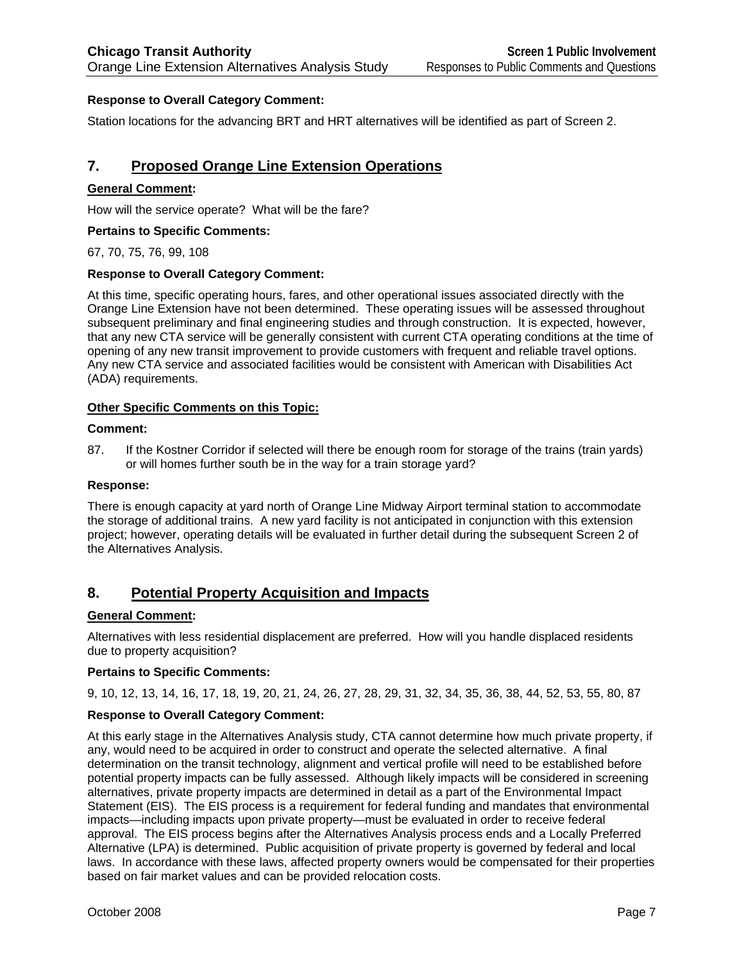### **Response to Overall Category Comment:**

Station locations for the advancing BRT and HRT alternatives will be identified as part of Screen 2.

# **7. Proposed Orange Line Extension Operations**

#### **General Comment:**

How will the service operate? What will be the fare?

#### **Pertains to Specific Comments:**

67, 70, 75, 76, 99, 108

#### **Response to Overall Category Comment:**

At this time, specific operating hours, fares, and other operational issues associated directly with the Orange Line Extension have not been determined. These operating issues will be assessed throughout subsequent preliminary and final engineering studies and through construction. It is expected, however, that any new CTA service will be generally consistent with current CTA operating conditions at the time of opening of any new transit improvement to provide customers with frequent and reliable travel options. Any new CTA service and associated facilities would be consistent with American with Disabilities Act (ADA) requirements.

#### **Other Specific Comments on this Topic:**

#### **Comment:**

87. If the Kostner Corridor if selected will there be enough room for storage of the trains (train yards) or will homes further south be in the way for a train storage yard?

#### **Response:**

There is enough capacity at yard north of Orange Line Midway Airport terminal station to accommodate the storage of additional trains. A new yard facility is not anticipated in conjunction with this extension project; however, operating details will be evaluated in further detail during the subsequent Screen 2 of the Alternatives Analysis.

# **8. Potential Property Acquisition and Impacts**

#### **General Comment:**

Alternatives with less residential displacement are preferred. How will you handle displaced residents due to property acquisition?

#### **Pertains to Specific Comments:**

9, 10, 12, 13, 14, 16, 17, 18, 19, 20, 21, 24, 26, 27, 28, 29, 31, 32, 34, 35, 36, 38, 44, 52, 53, 55, 80, 87

#### **Response to Overall Category Comment:**

At this early stage in the Alternatives Analysis study, CTA cannot determine how much private property, if any, would need to be acquired in order to construct and operate the selected alternative. A final determination on the transit technology, alignment and vertical profile will need to be established before potential property impacts can be fully assessed. Although likely impacts will be considered in screening alternatives, private property impacts are determined in detail as a part of the Environmental Impact Statement (EIS). The EIS process is a requirement for federal funding and mandates that environmental impacts—including impacts upon private property—must be evaluated in order to receive federal approval. The EIS process begins after the Alternatives Analysis process ends and a Locally Preferred Alternative (LPA) is determined. Public acquisition of private property is governed by federal and local laws. In accordance with these laws, affected property owners would be compensated for their properties based on fair market values and can be provided relocation costs.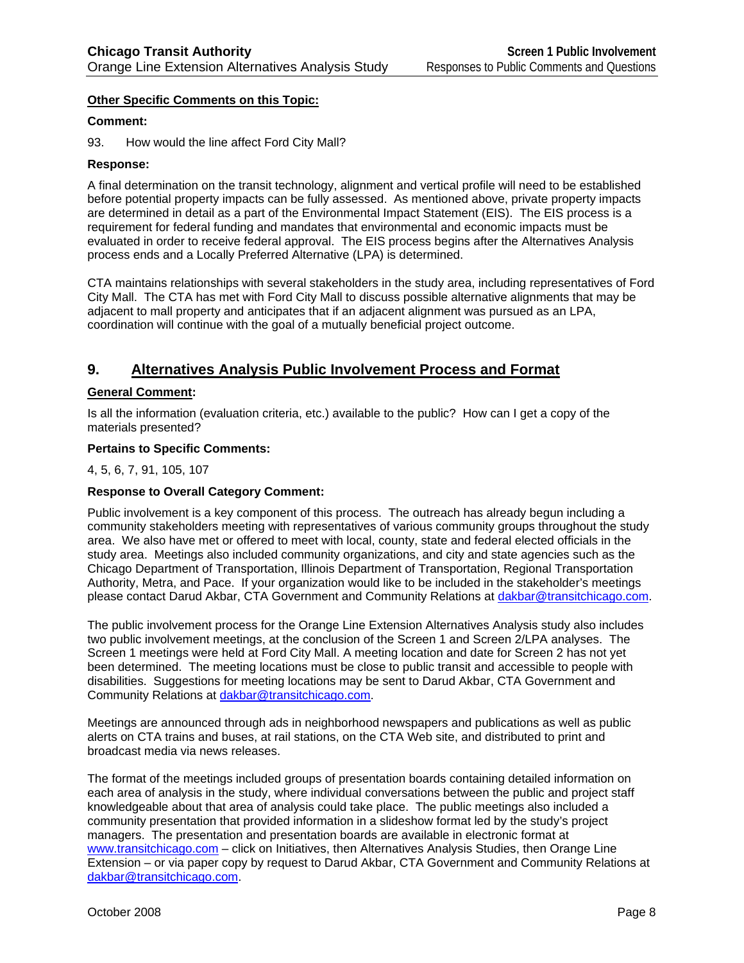#### **Other Specific Comments on this Topic:**

#### **Comment:**

93. How would the line affect Ford City Mall?

#### **Response:**

A final determination on the transit technology, alignment and vertical profile will need to be established before potential property impacts can be fully assessed. As mentioned above, private property impacts are determined in detail as a part of the Environmental Impact Statement (EIS). The EIS process is a requirement for federal funding and mandates that environmental and economic impacts must be evaluated in order to receive federal approval. The EIS process begins after the Alternatives Analysis process ends and a Locally Preferred Alternative (LPA) is determined.

CTA maintains relationships with several stakeholders in the study area, including representatives of Ford City Mall. The CTA has met with Ford City Mall to discuss possible alternative alignments that may be adjacent to mall property and anticipates that if an adjacent alignment was pursued as an LPA, coordination will continue with the goal of a mutually beneficial project outcome.

# **9. Alternatives Analysis Public Involvement Process and Format**

#### **General Comment:**

Is all the information (evaluation criteria, etc.) available to the public? How can I get a copy of the materials presented?

#### **Pertains to Specific Comments:**

4, 5, 6, 7, 91, 105, 107

#### **Response to Overall Category Comment:**

Public involvement is a key component of this process. The outreach has already begun including a community stakeholders meeting with representatives of various community groups throughout the study area. We also have met or offered to meet with local, county, state and federal elected officials in the study area. Meetings also included community organizations, and city and state agencies such as the Chicago Department of Transportation, Illinois Department of Transportation, Regional Transportation Authority, Metra, and Pace. If your organization would like to be included in the stakeholder's meetings please contact Darud Akbar, CTA Government and Community Relations at dakbar@transitchicago.com.

The public involvement process for the Orange Line Extension Alternatives Analysis study also includes two public involvement meetings, at the conclusion of the Screen 1 and Screen 2/LPA analyses. The Screen 1 meetings were held at Ford City Mall. A meeting location and date for Screen 2 has not yet been determined. The meeting locations must be close to public transit and accessible to people with disabilities. Suggestions for meeting locations may be sent to Darud Akbar, CTA Government and Community Relations at dakbar@transitchicago.com.

Meetings are announced through ads in neighborhood newspapers and publications as well as public alerts on CTA trains and buses, at rail stations, on the CTA Web site, and distributed to print and broadcast media via news releases.

The format of the meetings included groups of presentation boards containing detailed information on each area of analysis in the study, where individual conversations between the public and project staff knowledgeable about that area of analysis could take place. The public meetings also included a community presentation that provided information in a slideshow format led by the study's project managers. The presentation and presentation boards are available in electronic format at www.transitchicago.com – click on Initiatives, then Alternatives Analysis Studies, then Orange Line Extension – or via paper copy by request to Darud Akbar, CTA Government and Community Relations at dakbar@transitchicago.com.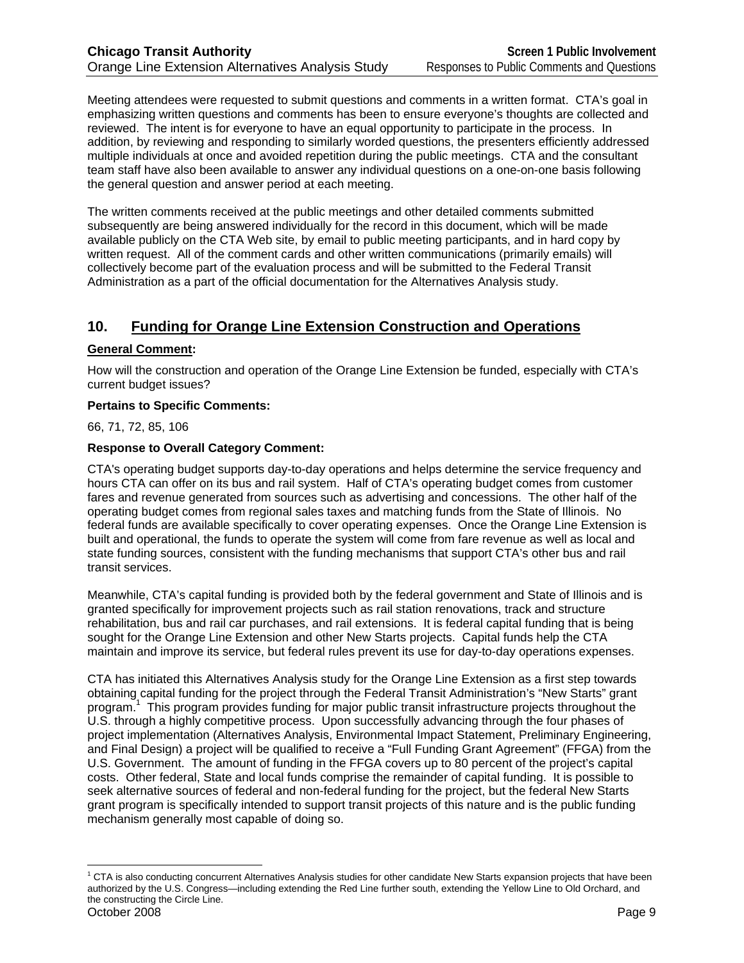Meeting attendees were requested to submit questions and comments in a written format. CTA's goal in emphasizing written questions and comments has been to ensure everyone's thoughts are collected and reviewed. The intent is for everyone to have an equal opportunity to participate in the process. In addition, by reviewing and responding to similarly worded questions, the presenters efficiently addressed multiple individuals at once and avoided repetition during the public meetings. CTA and the consultant team staff have also been available to answer any individual questions on a one-on-one basis following the general question and answer period at each meeting.

The written comments received at the public meetings and other detailed comments submitted subsequently are being answered individually for the record in this document, which will be made available publicly on the CTA Web site, by email to public meeting participants, and in hard copy by written request. All of the comment cards and other written communications (primarily emails) will collectively become part of the evaluation process and will be submitted to the Federal Transit Administration as a part of the official documentation for the Alternatives Analysis study.

# **10. Funding for Orange Line Extension Construction and Operations**

#### **General Comment:**

How will the construction and operation of the Orange Line Extension be funded, especially with CTA's current budget issues?

#### **Pertains to Specific Comments:**

66, 71, 72, 85, 106

### **Response to Overall Category Comment:**

CTA's operating budget supports day-to-day operations and helps determine the service frequency and hours CTA can offer on its bus and rail system. Half of CTA's operating budget comes from customer fares and revenue generated from sources such as advertising and concessions. The other half of the operating budget comes from regional sales taxes and matching funds from the State of Illinois. No federal funds are available specifically to cover operating expenses. Once the Orange Line Extension is built and operational, the funds to operate the system will come from fare revenue as well as local and state funding sources, consistent with the funding mechanisms that support CTA's other bus and rail transit services.

Meanwhile, CTA's capital funding is provided both by the federal government and State of Illinois and is granted specifically for improvement projects such as rail station renovations, track and structure rehabilitation, bus and rail car purchases, and rail extensions. It is federal capital funding that is being sought for the Orange Line Extension and other New Starts projects. Capital funds help the CTA maintain and improve its service, but federal rules prevent its use for day-to-day operations expenses.

CTA has initiated this Alternatives Analysis study for the Orange Line Extension as a first step towards obtaining capital funding for the project through the Federal Transit Administration's "New Starts" grant program.<sup>1</sup> This program provides funding for major public transit infrastructure projects throughout the U.S. through a highly competitive process. Upon successfully advancing through the four phases of project implementation (Alternatives Analysis, Environmental Impact Statement, Preliminary Engineering, and Final Design) a project will be qualified to receive a "Full Funding Grant Agreement" (FFGA) from the U.S. Government. The amount of funding in the FFGA covers up to 80 percent of the project's capital costs. Other federal, State and local funds comprise the remainder of capital funding. It is possible to seek alternative sources of federal and non-federal funding for the project, but the federal New Starts grant program is specifically intended to support transit projects of this nature and is the public funding mechanism generally most capable of doing so.

October 2008 Page 9  $\overline{a}$ <sup>1</sup> CTA is also conducting concurrent Alternatives Analysis studies for other candidate New Starts expansion projects that have been authorized by the U.S. Congress—including extending the Red Line further south, extending the Yellow Line to Old Orchard, and the constructing the Circle Line.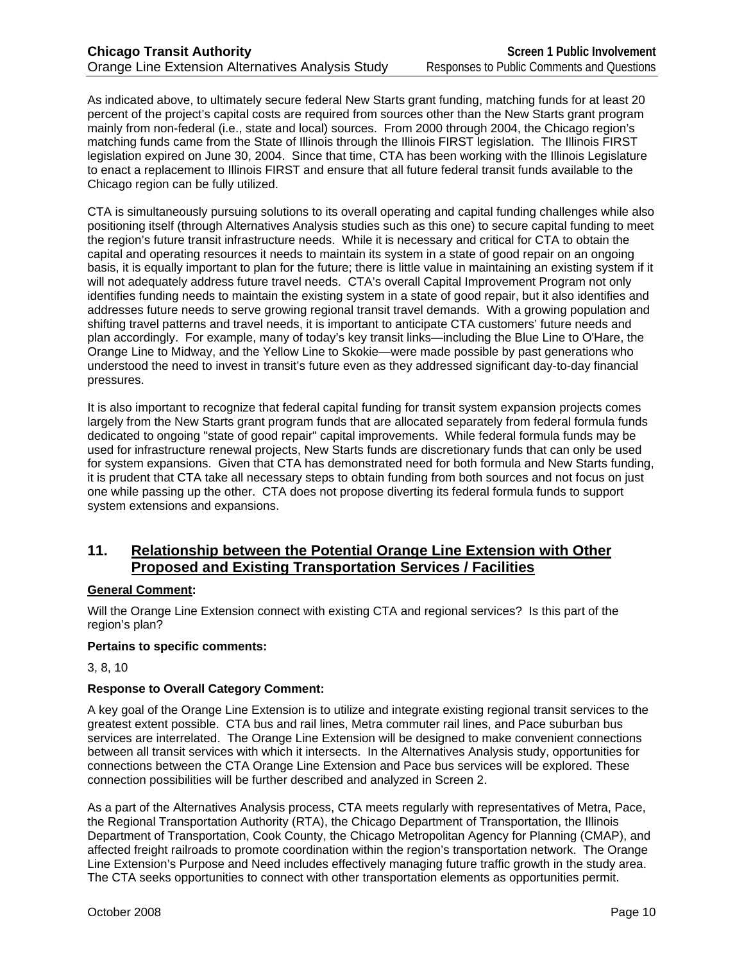As indicated above, to ultimately secure federal New Starts grant funding, matching funds for at least 20 percent of the project's capital costs are required from sources other than the New Starts grant program mainly from non-federal (i.e., state and local) sources. From 2000 through 2004, the Chicago region's matching funds came from the State of Illinois through the Illinois FIRST legislation. The Illinois FIRST legislation expired on June 30, 2004. Since that time, CTA has been working with the Illinois Legislature to enact a replacement to Illinois FIRST and ensure that all future federal transit funds available to the Chicago region can be fully utilized.

CTA is simultaneously pursuing solutions to its overall operating and capital funding challenges while also positioning itself (through Alternatives Analysis studies such as this one) to secure capital funding to meet the region's future transit infrastructure needs. While it is necessary and critical for CTA to obtain the capital and operating resources it needs to maintain its system in a state of good repair on an ongoing basis, it is equally important to plan for the future; there is little value in maintaining an existing system if it will not adequately address future travel needs. CTA's overall Capital Improvement Program not only identifies funding needs to maintain the existing system in a state of good repair, but it also identifies and addresses future needs to serve growing regional transit travel demands. With a growing population and shifting travel patterns and travel needs, it is important to anticipate CTA customers' future needs and plan accordingly. For example, many of today's key transit links—including the Blue Line to O'Hare, the Orange Line to Midway, and the Yellow Line to Skokie—were made possible by past generations who understood the need to invest in transit's future even as they addressed significant day-to-day financial pressures.

It is also important to recognize that federal capital funding for transit system expansion projects comes largely from the New Starts grant program funds that are allocated separately from federal formula funds dedicated to ongoing "state of good repair" capital improvements. While federal formula funds may be used for infrastructure renewal projects, New Starts funds are discretionary funds that can only be used for system expansions. Given that CTA has demonstrated need for both formula and New Starts funding, it is prudent that CTA take all necessary steps to obtain funding from both sources and not focus on just one while passing up the other. CTA does not propose diverting its federal formula funds to support system extensions and expansions.

# **11. Relationship between the Potential Orange Line Extension with Other Proposed and Existing Transportation Services / Facilities**

#### **General Comment:**

Will the Orange Line Extension connect with existing CTA and regional services? Is this part of the region's plan?

#### **Pertains to specific comments:**

3, 8, 10

### **Response to Overall Category Comment:**

A key goal of the Orange Line Extension is to utilize and integrate existing regional transit services to the greatest extent possible. CTA bus and rail lines, Metra commuter rail lines, and Pace suburban bus services are interrelated. The Orange Line Extension will be designed to make convenient connections between all transit services with which it intersects. In the Alternatives Analysis study, opportunities for connections between the CTA Orange Line Extension and Pace bus services will be explored. These connection possibilities will be further described and analyzed in Screen 2.

As a part of the Alternatives Analysis process, CTA meets regularly with representatives of Metra, Pace, the Regional Transportation Authority (RTA), the Chicago Department of Transportation, the Illinois Department of Transportation, Cook County, the Chicago Metropolitan Agency for Planning (CMAP), and affected freight railroads to promote coordination within the region's transportation network. The Orange Line Extension's Purpose and Need includes effectively managing future traffic growth in the study area. The CTA seeks opportunities to connect with other transportation elements as opportunities permit.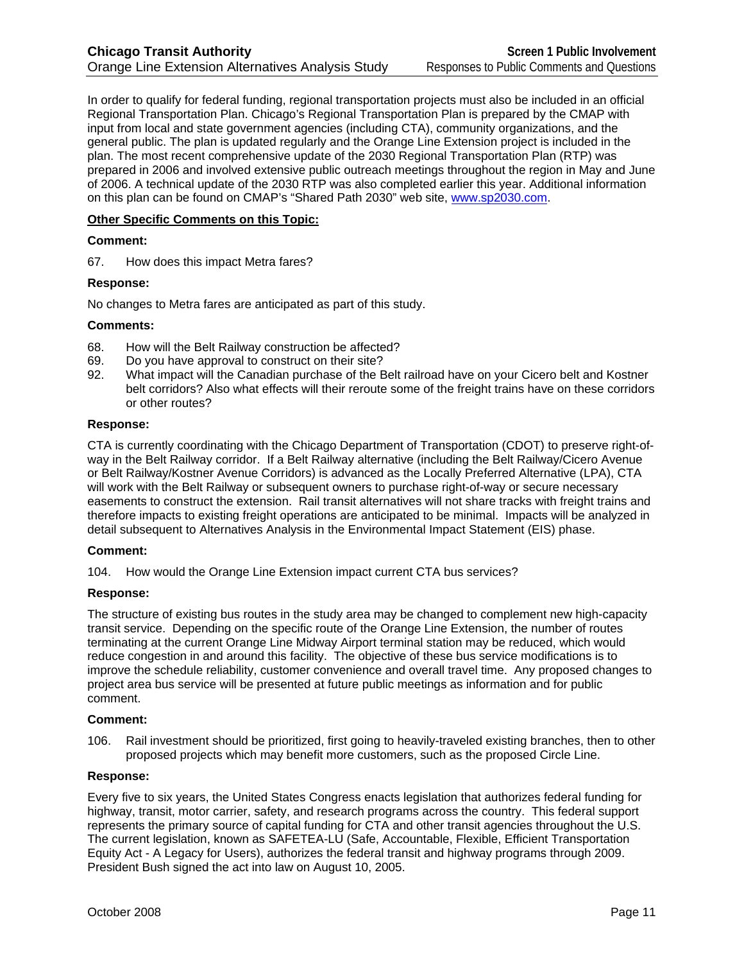In order to qualify for federal funding, regional transportation projects must also be included in an official Regional Transportation Plan. Chicago's Regional Transportation Plan is prepared by the CMAP with input from local and state government agencies (including CTA), community organizations, and the general public. The plan is updated regularly and the Orange Line Extension project is included in the plan. The most recent comprehensive update of the 2030 Regional Transportation Plan (RTP) was prepared in 2006 and involved extensive public outreach meetings throughout the region in May and June of 2006. A technical update of the 2030 RTP was also completed earlier this year. Additional information on this plan can be found on CMAP's "Shared Path 2030" web site, www.sp2030.com.

#### **Other Specific Comments on this Topic:**

#### **Comment:**

67. How does this impact Metra fares?

#### **Response:**

No changes to Metra fares are anticipated as part of this study.

#### **Comments:**

- 68. How will the Belt Railway construction be affected?
- 69. Do you have approval to construct on their site?
- 92. What impact will the Canadian purchase of the Belt railroad have on your Cicero belt and Kostner belt corridors? Also what effects will their reroute some of the freight trains have on these corridors or other routes?

#### **Response:**

CTA is currently coordinating with the Chicago Department of Transportation (CDOT) to preserve right-ofway in the Belt Railway corridor. If a Belt Railway alternative (including the Belt Railway/Cicero Avenue or Belt Railway/Kostner Avenue Corridors) is advanced as the Locally Preferred Alternative (LPA), CTA will work with the Belt Railway or subsequent owners to purchase right-of-way or secure necessary easements to construct the extension. Rail transit alternatives will not share tracks with freight trains and therefore impacts to existing freight operations are anticipated to be minimal. Impacts will be analyzed in detail subsequent to Alternatives Analysis in the Environmental Impact Statement (EIS) phase.

#### **Comment:**

104. How would the Orange Line Extension impact current CTA bus services?

#### **Response:**

The structure of existing bus routes in the study area may be changed to complement new high-capacity transit service. Depending on the specific route of the Orange Line Extension, the number of routes terminating at the current Orange Line Midway Airport terminal station may be reduced, which would reduce congestion in and around this facility. The objective of these bus service modifications is to improve the schedule reliability, customer convenience and overall travel time. Any proposed changes to project area bus service will be presented at future public meetings as information and for public comment.

#### **Comment:**

106. Rail investment should be prioritized, first going to heavily-traveled existing branches, then to other proposed projects which may benefit more customers, such as the proposed Circle Line.

#### **Response:**

Every five to six years, the United States Congress enacts legislation that authorizes federal funding for highway, transit, motor carrier, safety, and research programs across the country. This federal support represents the primary source of capital funding for CTA and other transit agencies throughout the U.S. The current legislation, known as SAFETEA-LU (Safe, Accountable, Flexible, Efficient Transportation Equity Act - A Legacy for Users), authorizes the federal transit and highway programs through 2009. President Bush signed the act into law on August 10, 2005.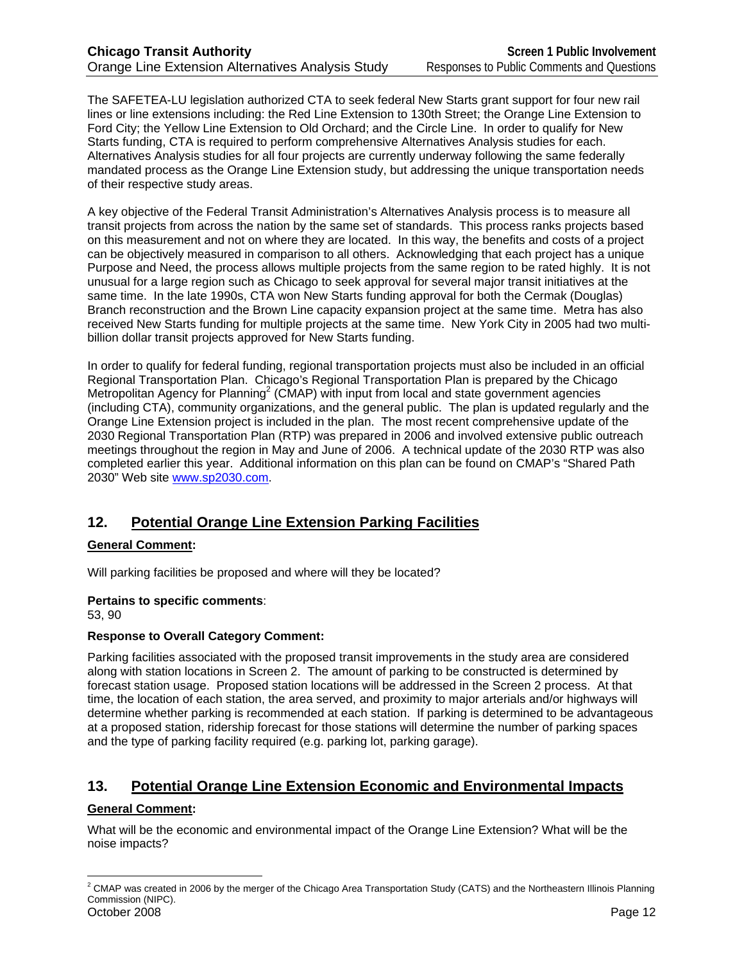The SAFETEA-LU legislation authorized CTA to seek federal New Starts grant support for four new rail lines or line extensions including: the Red Line Extension to 130th Street; the Orange Line Extension to Ford City; the Yellow Line Extension to Old Orchard; and the Circle Line. In order to qualify for New Starts funding, CTA is required to perform comprehensive Alternatives Analysis studies for each. Alternatives Analysis studies for all four projects are currently underway following the same federally mandated process as the Orange Line Extension study, but addressing the unique transportation needs of their respective study areas.

A key objective of the Federal Transit Administration's Alternatives Analysis process is to measure all transit projects from across the nation by the same set of standards. This process ranks projects based on this measurement and not on where they are located. In this way, the benefits and costs of a project can be objectively measured in comparison to all others. Acknowledging that each project has a unique Purpose and Need, the process allows multiple projects from the same region to be rated highly. It is not unusual for a large region such as Chicago to seek approval for several major transit initiatives at the same time. In the late 1990s, CTA won New Starts funding approval for both the Cermak (Douglas) Branch reconstruction and the Brown Line capacity expansion project at the same time. Metra has also received New Starts funding for multiple projects at the same time. New York City in 2005 had two multibillion dollar transit projects approved for New Starts funding.

In order to qualify for federal funding, regional transportation projects must also be included in an official Regional Transportation Plan. Chicago's Regional Transportation Plan is prepared by the Chicago Metropolitan Agency for Planning<sup>2</sup> (CMAP) with input from local and state government agencies (including CTA), community organizations, and the general public. The plan is updated regularly and the Orange Line Extension project is included in the plan. The most recent comprehensive update of the 2030 Regional Transportation Plan (RTP) was prepared in 2006 and involved extensive public outreach meetings throughout the region in May and June of 2006. A technical update of the 2030 RTP was also completed earlier this year. Additional information on this plan can be found on CMAP's "Shared Path 2030" Web site www.sp2030.com.

# **12. Potential Orange Line Extension Parking Facilities**

# **General Comment:**

Will parking facilities be proposed and where will they be located?

#### **Pertains to specific comments**:

53, 90

#### **Response to Overall Category Comment:**

Parking facilities associated with the proposed transit improvements in the study area are considered along with station locations in Screen 2. The amount of parking to be constructed is determined by forecast station usage. Proposed station locations will be addressed in the Screen 2 process. At that time, the location of each station, the area served, and proximity to major arterials and/or highways will determine whether parking is recommended at each station. If parking is determined to be advantageous at a proposed station, ridership forecast for those stations will determine the number of parking spaces and the type of parking facility required (e.g. parking lot, parking garage).

# **13. Potential Orange Line Extension Economic and Environmental Impacts**

# **General Comment:**

 $\overline{a}$ 

What will be the economic and environmental impact of the Orange Line Extension? What will be the noise impacts?

October 2008 Page 12  $^2$  CMAP was created in 2006 by the merger of the Chicago Area Transportation Study (CATS) and the Northeastern Illinois Planning Commission (NIPC).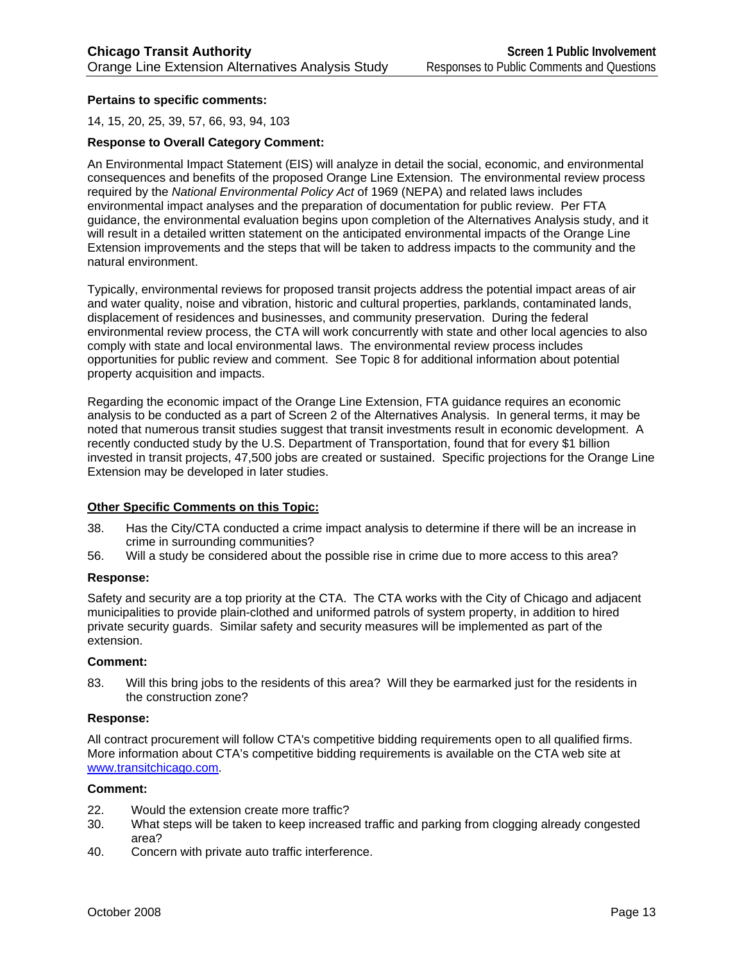#### **Pertains to specific comments:**

14, 15, 20, 25, 39, 57, 66, 93, 94, 103

#### **Response to Overall Category Comment:**

An Environmental Impact Statement (EIS) will analyze in detail the social, economic, and environmental consequences and benefits of the proposed Orange Line Extension. The environmental review process required by the *National Environmental Policy Act* of 1969 (NEPA) and related laws includes environmental impact analyses and the preparation of documentation for public review. Per FTA guidance, the environmental evaluation begins upon completion of the Alternatives Analysis study, and it will result in a detailed written statement on the anticipated environmental impacts of the Orange Line Extension improvements and the steps that will be taken to address impacts to the community and the natural environment.

Typically, environmental reviews for proposed transit projects address the potential impact areas of air and water quality, noise and vibration, historic and cultural properties, parklands, contaminated lands, displacement of residences and businesses, and community preservation. During the federal environmental review process, the CTA will work concurrently with state and other local agencies to also comply with state and local environmental laws. The environmental review process includes opportunities for public review and comment. See Topic 8 for additional information about potential property acquisition and impacts.

Regarding the economic impact of the Orange Line Extension, FTA guidance requires an economic analysis to be conducted as a part of Screen 2 of the Alternatives Analysis. In general terms, it may be noted that numerous transit studies suggest that transit investments result in economic development. A recently conducted study by the U.S. Department of Transportation, found that for every \$1 billion invested in transit projects, 47,500 jobs are created or sustained. Specific projections for the Orange Line Extension may be developed in later studies.

#### **Other Specific Comments on this Topic:**

- 38. Has the City/CTA conducted a crime impact analysis to determine if there will be an increase in crime in surrounding communities?
- 56. Will a study be considered about the possible rise in crime due to more access to this area?

#### **Response:**

Safety and security are a top priority at the CTA. The CTA works with the City of Chicago and adjacent municipalities to provide plain-clothed and uniformed patrols of system property, in addition to hired private security guards. Similar safety and security measures will be implemented as part of the extension.

#### **Comment:**

83. Will this bring jobs to the residents of this area? Will they be earmarked just for the residents in the construction zone?

#### **Response:**

All contract procurement will follow CTA's competitive bidding requirements open to all qualified firms. More information about CTA's competitive bidding requirements is available on the CTA web site at www.transitchicago.com.

#### **Comment:**

- 22. Would the extension create more traffic?
- 30. What steps will be taken to keep increased traffic and parking from clogging already congested area?
- 40. Concern with private auto traffic interference.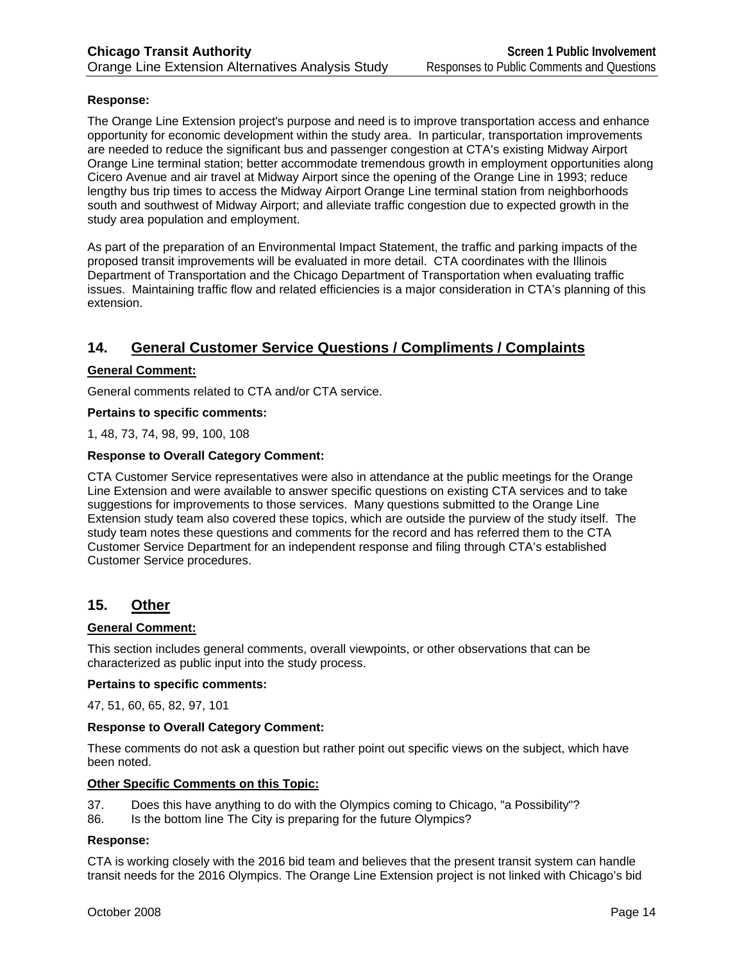#### **Response:**

The Orange Line Extension project's purpose and need is to improve transportation access and enhance opportunity for economic development within the study area. In particular, transportation improvements are needed to reduce the significant bus and passenger congestion at CTA's existing Midway Airport Orange Line terminal station; better accommodate tremendous growth in employment opportunities along Cicero Avenue and air travel at Midway Airport since the opening of the Orange Line in 1993; reduce lengthy bus trip times to access the Midway Airport Orange Line terminal station from neighborhoods south and southwest of Midway Airport; and alleviate traffic congestion due to expected growth in the study area population and employment.

As part of the preparation of an Environmental Impact Statement, the traffic and parking impacts of the proposed transit improvements will be evaluated in more detail. CTA coordinates with the Illinois Department of Transportation and the Chicago Department of Transportation when evaluating traffic issues. Maintaining traffic flow and related efficiencies is a major consideration in CTA's planning of this extension.

# **14. General Customer Service Questions / Compliments / Complaints**

#### **General Comment:**

General comments related to CTA and/or CTA service.

#### **Pertains to specific comments:**

1, 48, 73, 74, 98, 99, 100, 108

#### **Response to Overall Category Comment:**

CTA Customer Service representatives were also in attendance at the public meetings for the Orange Line Extension and were available to answer specific questions on existing CTA services and to take suggestions for improvements to those services. Many questions submitted to the Orange Line Extension study team also covered these topics, which are outside the purview of the study itself. The study team notes these questions and comments for the record and has referred them to the CTA Customer Service Department for an independent response and filing through CTA's established Customer Service procedures.

#### **15. Other**

#### **General Comment:**

This section includes general comments, overall viewpoints, or other observations that can be characterized as public input into the study process.

#### **Pertains to specific comments:**

47, 51, 60, 65, 82, 97, 101

#### **Response to Overall Category Comment:**

These comments do not ask a question but rather point out specific views on the subject, which have been noted.

#### **Other Specific Comments on this Topic:**

- 37. Does this have anything to do with the Olympics coming to Chicago, "a Possibility"?
- 86. Is the bottom line The City is preparing for the future Olympics?

#### **Response:**

CTA is working closely with the 2016 bid team and believes that the present transit system can handle transit needs for the 2016 Olympics. The Orange Line Extension project is not linked with Chicago's bid